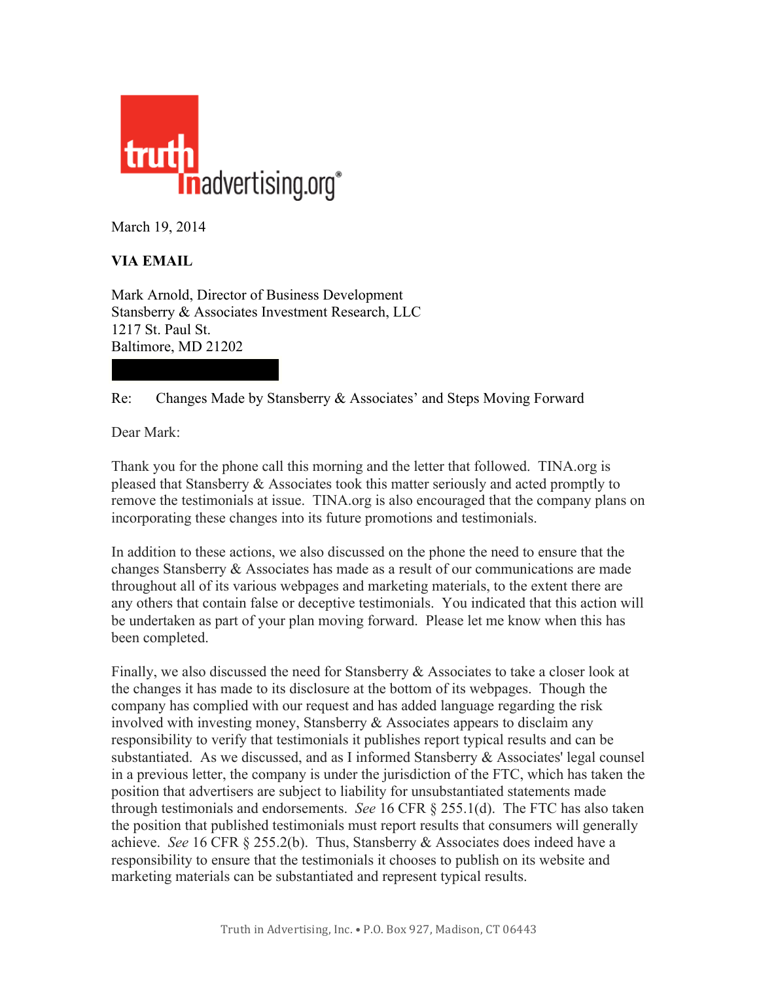

March 19, 2014

## **VIA EMAIL**

Mark Arnold, Director of Business Development Stansberry & Associates Investment Research, LLC 1217 St. Paul St. Baltimore, MD 21202

## Re: Changes Made by Stansberry & Associates' and Steps Moving Forward

Dear Mark:

Thank you for the phone call this morning and the letter that followed. TINA.org is pleased that Stansberry & Associates took this matter seriously and acted promptly to remove the testimonials at issue. TINA.org is also encouraged that the company plans on incorporating these changes into its future promotions and testimonials.

In addition to these actions, we also discussed on the phone the need to ensure that the changes Stansberry & Associates has made as a result of our communications are made throughout all of its various webpages and marketing materials, to the extent there are any others that contain false or deceptive testimonials. You indicated that this action will be undertaken as part of your plan moving forward. Please let me know when this has been completed.

Finally, we also discussed the need for Stansberry & Associates to take a closer look at the changes it has made to its disclosure at the bottom of its webpages. Though the company has complied with our request and has added language regarding the risk involved with investing money, Stansberry  $\&$  Associates appears to disclaim any responsibility to verify that testimonials it publishes report typical results and can be substantiated. As we discussed, and as I informed Stansberry & Associates' legal counsel in a previous letter, the company is under the jurisdiction of the FTC, which has taken the position that advertisers are subject to liability for unsubstantiated statements made through testimonials and endorsements. *See* 16 CFR § 255.1(d). The FTC has also taken the position that published testimonials must report results that consumers will generally achieve. *See* 16 CFR § 255.2(b). Thus, Stansberry & Associates does indeed have a responsibility to ensure that the testimonials it chooses to publish on its website and marketing materials can be substantiated and represent typical results.